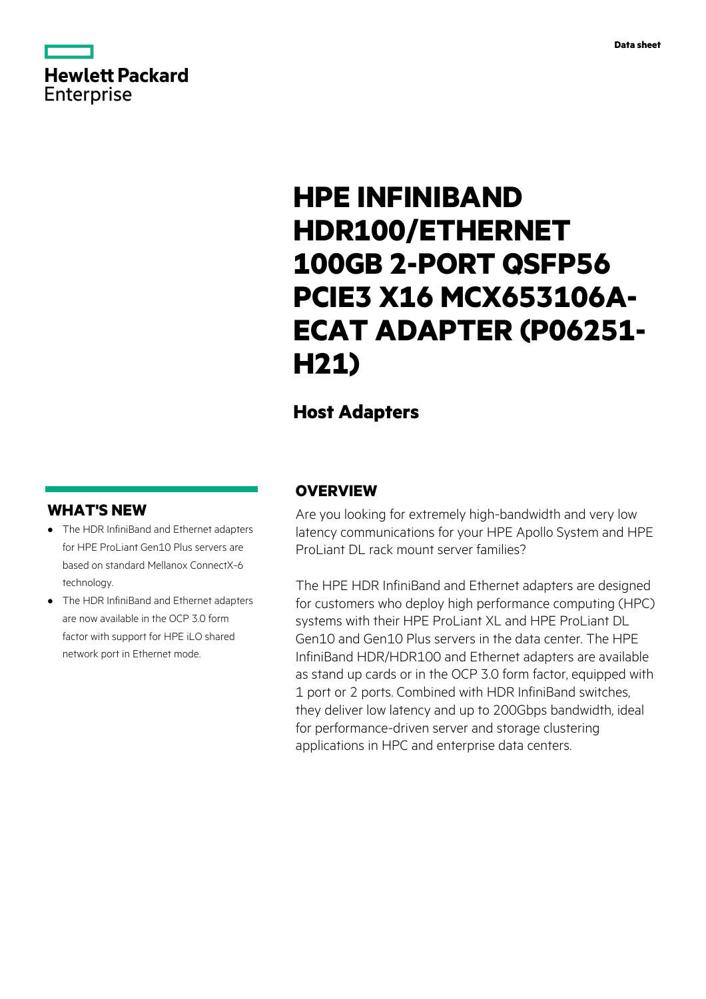# **Hewlett Packard** Enterprise

# **HPE INFINIBAND HDR100/ETHERNET 100GB 2-PORT QSFP56 PCIE3 X16 MCX653106A-ECAT ADAPTER (P06251- H21)**

# **Host Adapters**

# **WHAT'S NEW**

- **·** The HDR InfiniBand and Ethernet adapters for HPE ProLiant Gen10 Plus servers are based on standard Mellanox ConnectX-6 technology.
- **·** The HDR InfiniBand and Ethernet adapters are now available in the OCP 3.0 form factor with support for HPE iLO shared network port in Ethernet mode.

## **OVERVIEW**

Are you looking for extremely high-bandwidth and very low latency communications for your HPE Apollo System and HPE ProLiant DL rack mount server families?

The HPE HDR InfiniBand and Ethernet adapters are designed for customers who deploy high performance computing (HPC) systems with their HPE ProLiant XL and HPE ProLiant DL Gen10 and Gen10 Plus servers in the data center. The HPE InfiniBand HDR/HDR100 and Ethernet adapters are available as stand up cards or in the OCP 3.0 form factor, equipped with 1 port or 2 ports. Combined with HDR InfiniBand switches, they deliver low latency and up to 200Gbps bandwidth, ideal for performance-driven server and storage clustering applications in HPC and enterprise data centers.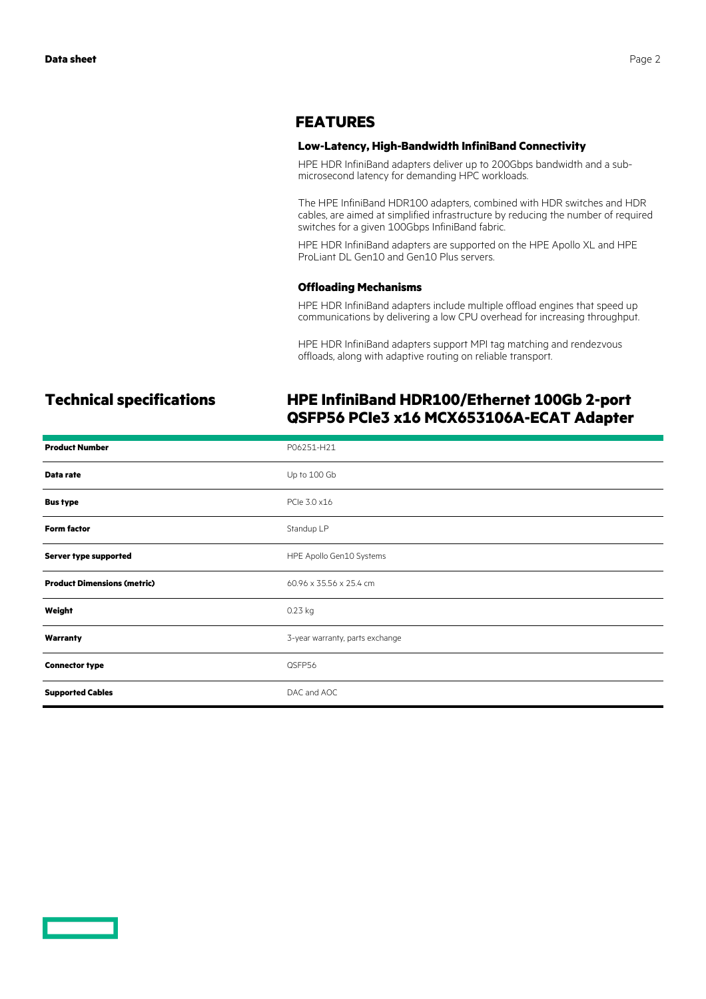### **FEATURES**

#### **Low-Latency, High-Bandwidth InfiniBand Connectivity**

HPE HDR InfiniBand adapters deliver up to 200Gbps bandwidth and a submicrosecond latency for demanding HPC workloads.

The HPE InfiniBand HDR100 adapters, combined with HDR switches and HDR cables, are aimed at simplified infrastructure by reducing the number of required switches for a given 100Gbps InfiniBand fabric.

HPE HDR InfiniBand adapters are supported on the HPE Apollo XL and HPE ProLiant DL Gen10 and Gen10 Plus servers.

#### **Offloading Mechanisms**

HPE HDR InfiniBand adapters include multiple offload engines that speed up communications by delivering a low CPU overhead for increasing throughput.

HPE HDR InfiniBand adapters support MPI tag matching and rendezvous offloads, along with adaptive routing on reliable transport.

# **Technical specifications HPE InfiniBand HDR100/Ethernet 100Gb 2-port QSFP56 PCIe3 x16 MCX653106A-ECAT Adapter**

| <b>Product Number</b>              | P06251-H21                      |
|------------------------------------|---------------------------------|
| Data rate                          | Up to 100 Gb                    |
| <b>Bus type</b>                    | PCIe 3.0 x16                    |
| <b>Form factor</b>                 | Standup LP                      |
| Server type supported              | HPE Apollo Gen10 Systems        |
| <b>Product Dimensions (metric)</b> | 60.96 x 35.56 x 25.4 cm         |
| Weight                             | 0.23 kg                         |
| Warranty                           | 3-year warranty, parts exchange |
| <b>Connector type</b>              | QSFP56                          |
| <b>Supported Cables</b>            | DAC and AOC                     |